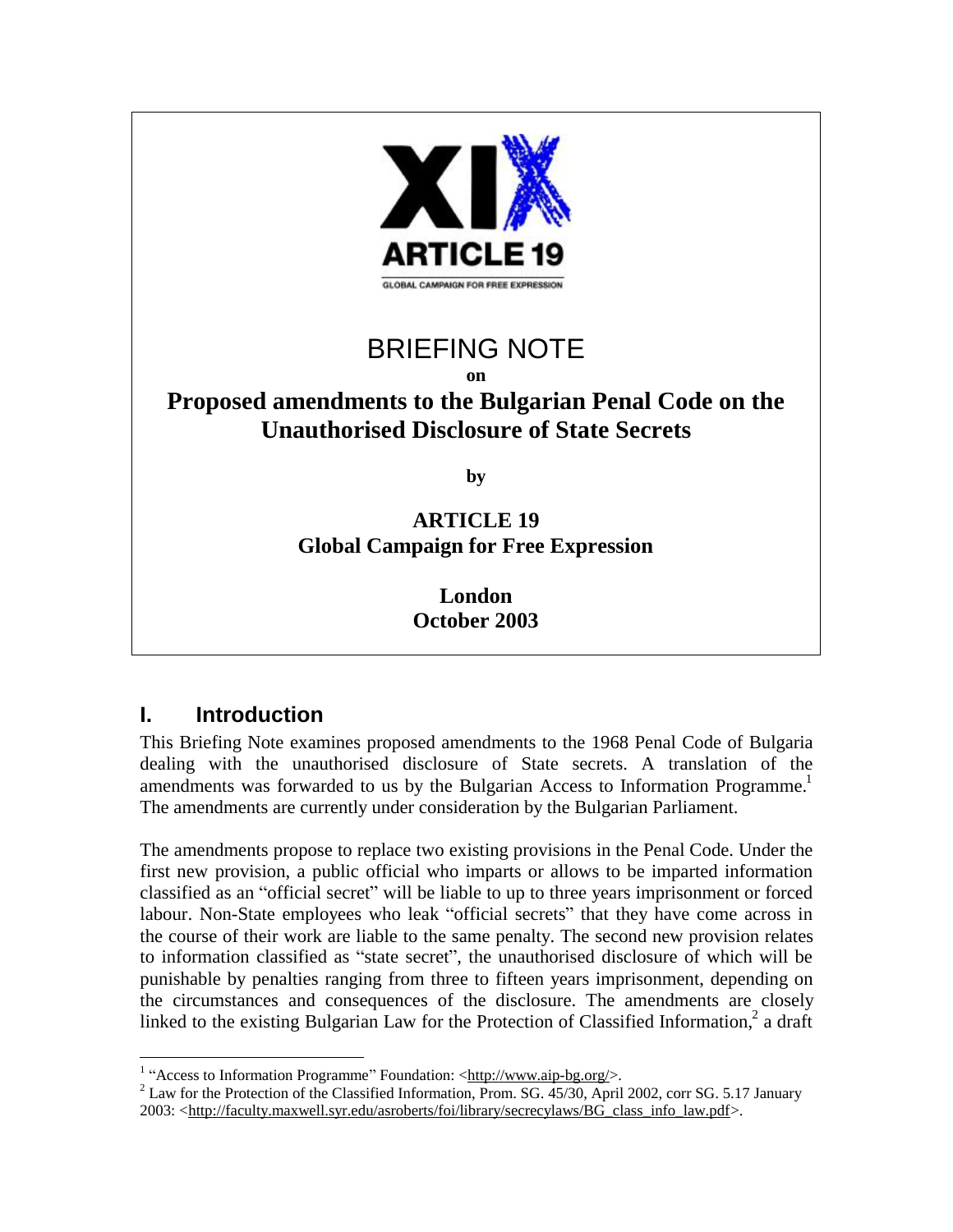

# BRIEFING NOTE

**on** 

# **Proposed amendments to the Bulgarian Penal Code on the Unauthorised Disclosure of State Secrets**

**by** 

### **ARTICLE 19 Global Campaign for Free Expression**

**London October 2003**

## **I. Introduction**

This Briefing Note examines proposed amendments to the 1968 Penal Code of Bulgaria dealing with the unauthorised disclosure of State secrets. A translation of the amendments was forwarded to us by the Bulgarian Access to Information Programme.<sup>1</sup> The amendments are currently under consideration by the Bulgarian Parliament.

The amendments propose to replace two existing provisions in the Penal Code. Under the first new provision, a public official who imparts or allows to be imparted information classified as an "official secret" will be liable to up to three years imprisonment or forced labour. Non-State employees who leak "official secrets" that they have come across in the course of their work are liable to the same penalty. The second new provision relates to information classified as "state secret", the unauthorised disclosure of which will be punishable by penalties ranging from three to fifteen years imprisonment, depending on the circumstances and consequences of the disclosure. The amendments are closely linked to the existing Bulgarian Law for the Protection of Classified Information,<sup>2</sup> a draft

<sup>1</sup> <sup>1</sup> "Access to Information Programme" Foundation: [<http://www.aip-bg.org/>](http://www.aip-bg.org/).

 $^{2}$  Law for the Protection of the Classified Information, Prom. SG. 45/30, April 2002, corr SG. 5.17 January 2003: <[http://faculty.maxwell.syr.edu/asroberts/foi/library/secrecylaws/BG\\_class\\_info\\_law.pdf>](http://faculty.maxwell.syr.edu/asroberts/foi/library/secrecylaws/BG_class_info_law.pdf).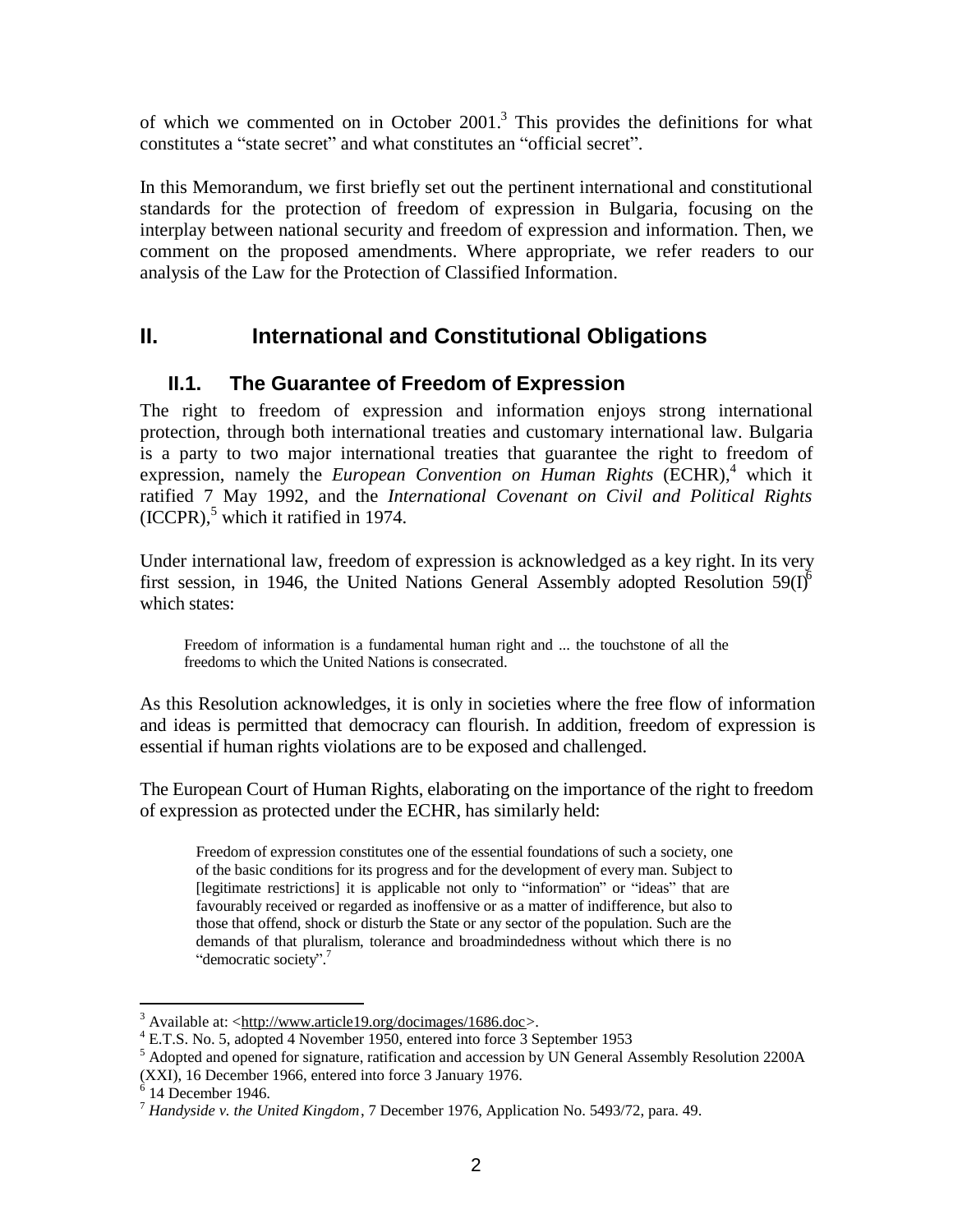of which we commented on in October  $2001$ .<sup>3</sup> This provides the definitions for what constitutes a "state secret" and what constitutes an "official secret".

In this Memorandum, we first briefly set out the pertinent international and constitutional standards for the protection of freedom of expression in Bulgaria, focusing on the interplay between national security and freedom of expression and information. Then, we comment on the proposed amendments. Where appropriate, we refer readers to our analysis of the Law for the Protection of Classified Information.

### **II. International and Constitutional Obligations**

### **II.1. The Guarantee of Freedom of Expression**

The right to freedom of expression and information enjoys strong international protection, through both international treaties and customary international law. Bulgaria is a party to two major international treaties that guarantee the right to freedom of expression, namely the *European Convention on Human Rights* (ECHR),<sup>4</sup> which it ratified 7 May 1992, and the *International Covenant on Civil and Political Rights*  $(ICCPR)$ ,<sup>5</sup> which it ratified in 1974.

Under international law, freedom of expression is acknowledged as a key right. In its very first session, in 1946, the United Nations General Assembly adopted Resolution  $59(1)^6$ which states:

Freedom of information is a fundamental human right and ... the touchstone of all the freedoms to which the United Nations is consecrated.

As this Resolution acknowledges, it is only in societies where the free flow of information and ideas is permitted that democracy can flourish. In addition, freedom of expression is essential if human rights violations are to be exposed and challenged.

The European Court of Human Rights, elaborating on the importance of the right to freedom of expression as protected under the ECHR, has similarly held:

Freedom of expression constitutes one of the essential foundations of such a society, one of the basic conditions for its progress and for the development of every man. Subject to [legitimate restrictions] it is applicable not only to "information" or "ideas" that are favourably received or regarded as inoffensive or as a matter of indifference, but also to those that offend, shock or disturb the State or any sector of the population. Such are the demands of that pluralism, tolerance and broadmindedness without which there is no "democratic society".<sup>7</sup>

 $3$  Available at: <<http://www.article19.org/docimages/1686.doc>>.

<sup>&</sup>lt;sup>4</sup> E.T.S. No. 5, adopted 4 November 1950, entered into force 3 September 1953

<sup>&</sup>lt;sup>5</sup> Adopted and opened for signature, ratification and accession by UN General Assembly Resolution 2200A (XXI), 16 December 1966, entered into force 3 January 1976. 6 14 December 1946.

<sup>7</sup> *Handyside v. the United Kingdom*, 7 December 1976, Application No. 5493/72, para. 49.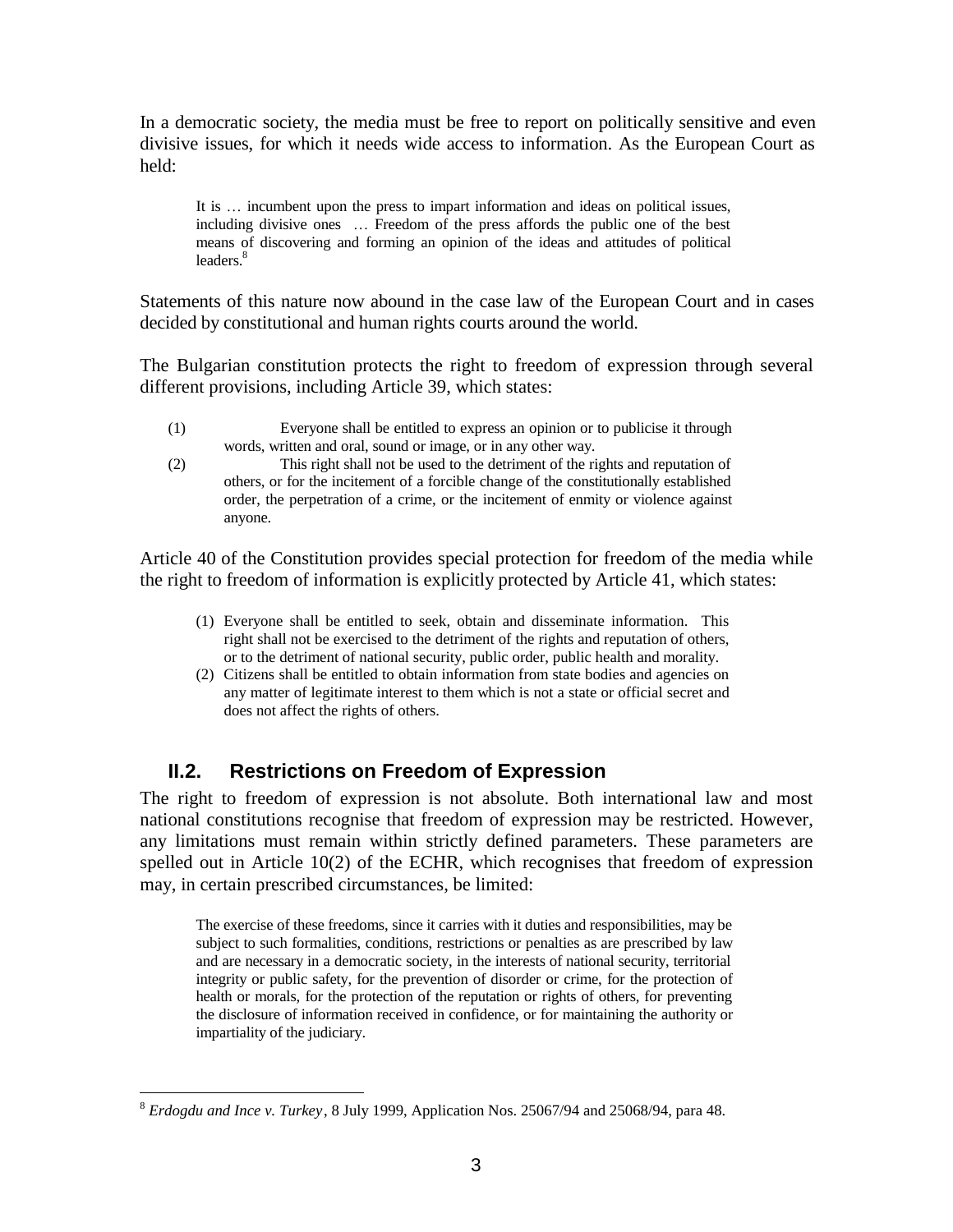In a democratic society, the media must be free to report on politically sensitive and even divisive issues, for which it needs wide access to information. As the European Court as held:

It is … incumbent upon the press to impart information and ideas on political issues, including divisive ones … Freedom of the press affords the public one of the best means of discovering and forming an opinion of the ideas and attitudes of political leaders.<sup>8</sup>

Statements of this nature now abound in the case law of the European Court and in cases decided by constitutional and human rights courts around the world.

The Bulgarian constitution protects the right to freedom of expression through several different provisions, including Article 39, which states:

- (1) Everyone shall be entitled to express an opinion or to publicise it through words, written and oral, sound or image, or in any other way.
- (2) This right shall not be used to the detriment of the rights and reputation of others, or for the incitement of a forcible change of the constitutionally established order, the perpetration of a crime, or the incitement of enmity or violence against anyone.

Article 40 of the Constitution provides special protection for freedom of the media while the right to freedom of information is explicitly protected by Article 41, which states:

- (1) Everyone shall be entitled to seek, obtain and disseminate information. This right shall not be exercised to the detriment of the rights and reputation of others, or to the detriment of national security, public order, public health and morality.
- (2) Citizens shall be entitled to obtain information from state bodies and agencies on any matter of legitimate interest to them which is not a state or official secret and does not affect the rights of others.

### **II.2. Restrictions on Freedom of Expression**

The right to freedom of expression is not absolute. Both international law and most national constitutions recognise that freedom of expression may be restricted. However, any limitations must remain within strictly defined parameters. These parameters are spelled out in Article 10(2) of the ECHR, which recognises that freedom of expression may, in certain prescribed circumstances, be limited:

The exercise of these freedoms, since it carries with it duties and responsibilities, may be subject to such formalities, conditions, restrictions or penalties as are prescribed by law and are necessary in a democratic society, in the interests of national security, territorial integrity or public safety, for the prevention of disorder or crime, for the protection of health or morals, for the protection of the reputation or rights of others, for preventing the disclosure of information received in confidence, or for maintaining the authority or impartiality of the judiciary.

<sup>8</sup> *Erdogdu and Ince v. Turkey*, 8 July 1999, Application Nos. 25067/94 and 25068/94, para 48.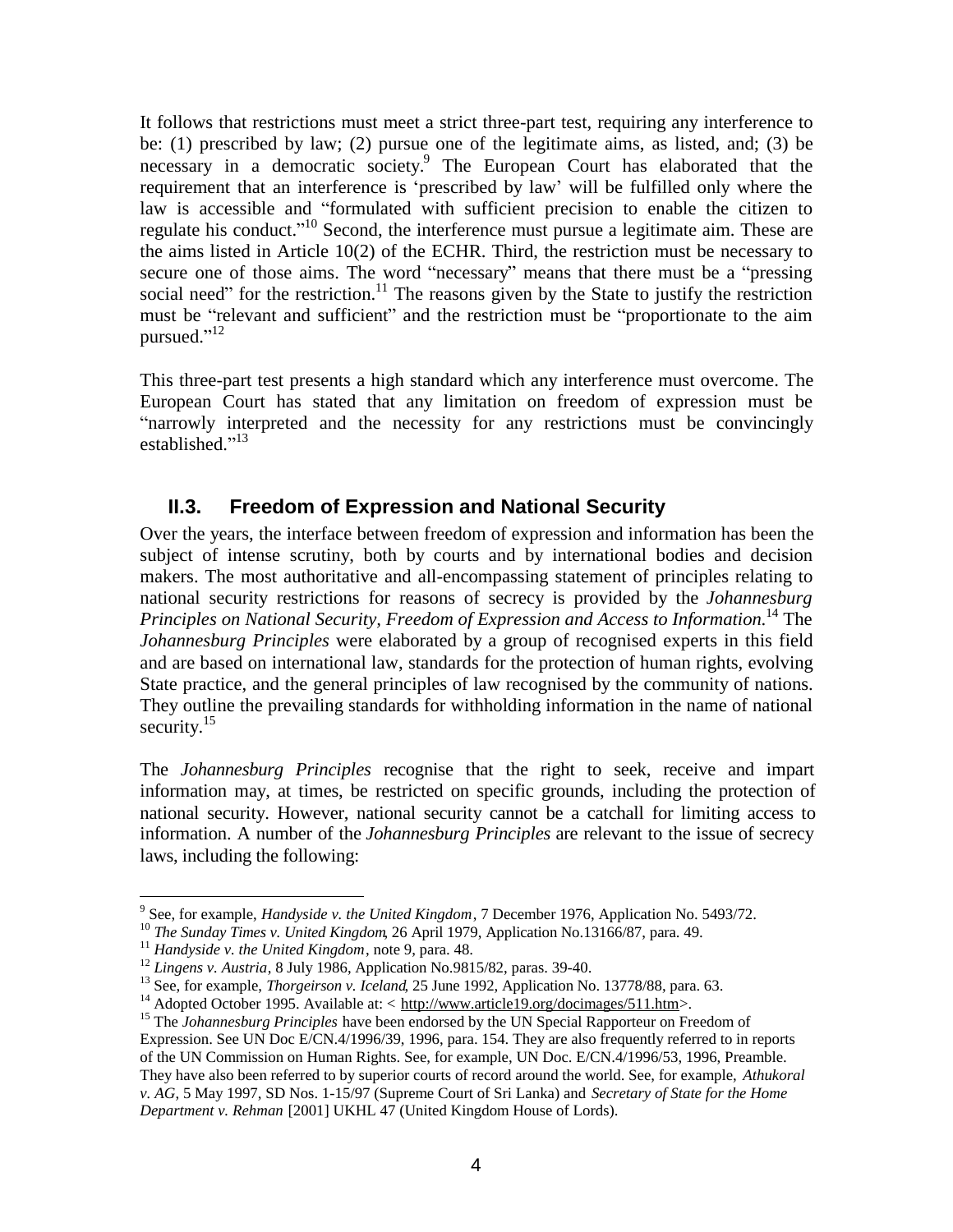It follows that restrictions must meet a strict three-part test, requiring any interference to be: (1) prescribed by law; (2) pursue one of the legitimate aims, as listed, and; (3) be necessary in a democratic society. 9 The European Court has elaborated that the requirement that an interference is 'prescribed by law' will be fulfilled only where the law is accessible and "formulated with sufficient precision to enable the citizen to regulate his conduct."<sup>10</sup> Second, the interference must pursue a legitimate aim. These are the aims listed in Article 10(2) of the ECHR. Third, the restriction must be necessary to secure one of those aims. The word "necessary" means that there must be a "pressing social need" for the restriction.<sup>11</sup> The reasons given by the State to justify the restriction must be "relevant and sufficient" and the restriction must be "proportionate to the aim pursued."<sup>12</sup>

This three-part test presents a high standard which any interference must overcome. The European Court has stated that any limitation on freedom of expression must be "narrowly interpreted and the necessity for any restrictions must be convincingly established." 13

### **II.3. Freedom of Expression and National Security**

Over the years, the interface between freedom of expression and information has been the subject of intense scrutiny, both by courts and by international bodies and decision makers. The most authoritative and all-encompassing statement of principles relating to national security restrictions for reasons of secrecy is provided by the *Johannesburg Principles on National Security, Freedom of Expression and Access to Information*. <sup>14</sup> The *Johannesburg Principles* were elaborated by a group of recognised experts in this field and are based on international law, standards for the protection of human rights, evolving State practice, and the general principles of law recognised by the community of nations. They outline the prevailing standards for withholding information in the name of national security.<sup>15</sup>

The *Johannesburg Principles* recognise that the right to seek, receive and impart information may, at times, be restricted on specific grounds, including the protection of national security. However, national security cannot be a catchall for limiting access to information. A number of the *Johannesburg Principles* are relevant to the issue of secrecy laws, including the following:

 9 See, for example, *Handyside v. the United Kingdom*, 7 December 1976, Application No. 5493/72.

<sup>10</sup> *The Sunday Times v. United Kingdom*, 26 April 1979, Application No.13166/87, para. 49.

<sup>11</sup> *Handyside v. the United Kingdom*, note 9, para. 48.

<sup>&</sup>lt;sup>12</sup> *Lingens v. Austria*, 8 July 1986, Application No.9815/82, paras. 39-40.

<sup>&</sup>lt;sup>13</sup> See, for example, *Thorgeirson v. Iceland*, 25 June 1992, Application No. 13778/88, para. 63.

<sup>&</sup>lt;sup>14</sup> Adopted October 1995. Available at: < [http://www.article19.org/docimages/511.htm>](http://www.article19.org/docimages/511.htm).

<sup>&</sup>lt;sup>15</sup> The *Johannesburg Principles* have been endorsed by the UN Special Rapporteur on Freedom of Expression. See UN Doc E/CN.4/1996/39, 1996, para. 154. They are also frequently referred to in reports of the UN Commission on Human Rights. See, for example, UN Doc. E/CN.4/1996/53, 1996, Preamble. They have also been referred to by superior courts of record around the world. See, for example, *Athukoral v. AG*, 5 May 1997, SD Nos. 1-15/97 (Supreme Court of Sri Lanka) and *Secretary of State for the Home Department v. Rehman* [2001] UKHL 47 (United Kingdom House of Lords).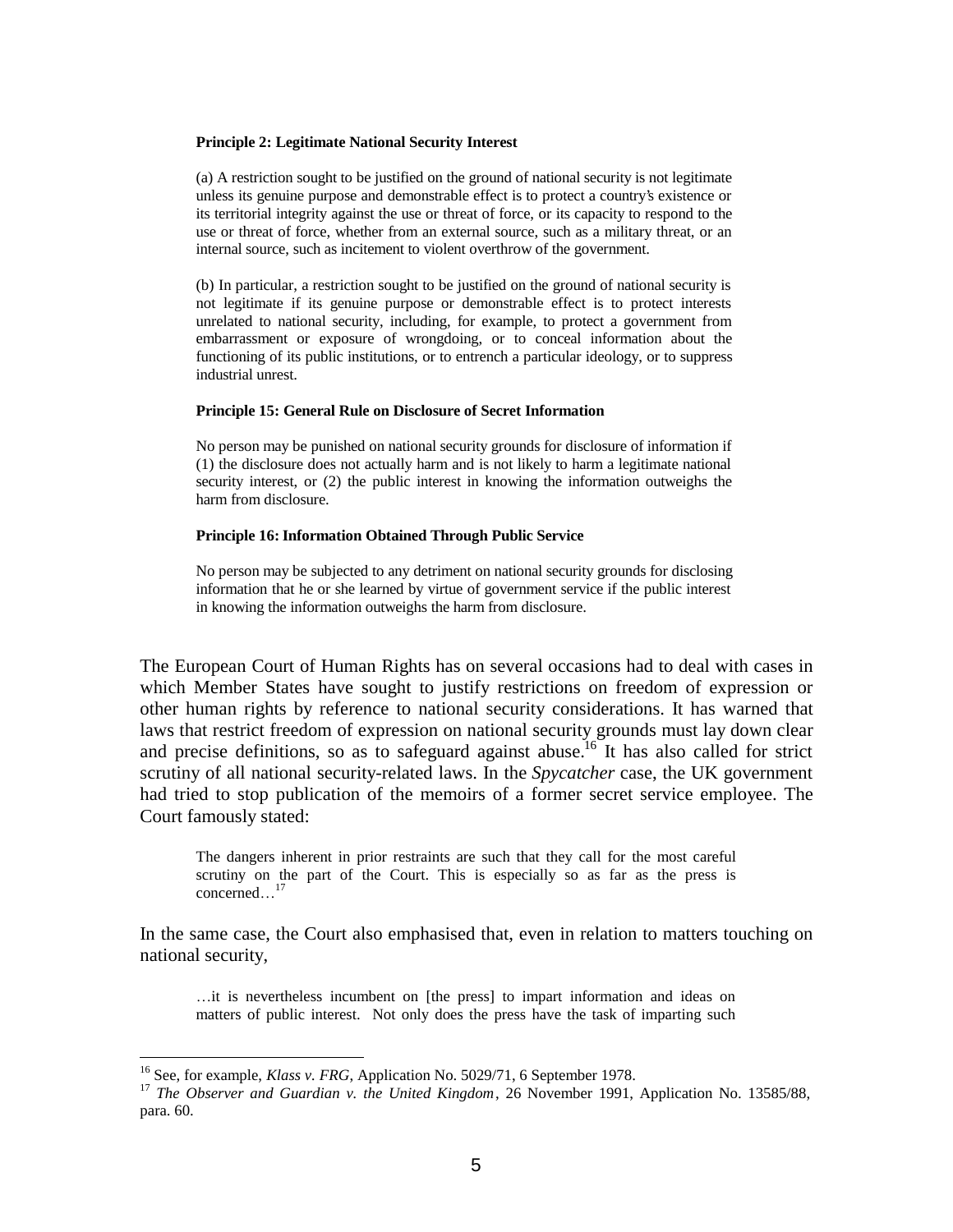#### **Principle 2: Legitimate National Security Interest**

(a) A restriction sought to be justified on the ground of national security is not legitimate unless its genuine purpose and demonstrable effect is to protect a country's existence or its territorial integrity against the use or threat of force, or its capacity to respond to the use or threat of force, whether from an external source, such as a military threat, or an internal source, such as incitement to violent overthrow of the government.

(b) In particular, a restriction sought to be justified on the ground of national security is not legitimate if its genuine purpose or demonstrable effect is to protect interests unrelated to national security, including, for example, to protect a government from embarrassment or exposure of wrongdoing, or to conceal information about the functioning of its public institutions, or to entrench a particular ideology, or to suppress industrial unrest.

#### **Principle 15: General Rule on Disclosure of Secret Information**

No person may be punished on national security grounds for disclosure of information if (1) the disclosure does not actually harm and is not likely to harm a legitimate national security interest, or (2) the public interest in knowing the information outweighs the harm from disclosure.

#### **Principle 16: Information Obtained Through Public Service**

No person may be subjected to any detriment on national security grounds for disclosing information that he or she learned by virtue of government service if the public interest in knowing the information outweighs the harm from disclosure.

The European Court of Human Rights has on several occasions had to deal with cases in which Member States have sought to justify restrictions on freedom of expression or other human rights by reference to national security considerations. It has warned that laws that restrict freedom of expression on national security grounds must lay down clear and precise definitions, so as to safeguard against abuse.<sup>16</sup> It has also called for strict scrutiny of all national security-related laws. In the *Spycatcher* case, the UK government had tried to stop publication of the memoirs of a former secret service employee. The Court famously stated:

The dangers inherent in prior restraints are such that they call for the most careful scrutiny on the part of the Court. This is especially so as far as the press is concerned…<sup>17</sup>

In the same case, the Court also emphasised that, even in relation to matters touching on national security,

…it is nevertheless incumbent on [the press] to impart information and ideas on matters of public interest. Not only does the press have the task of imparting such

1

<sup>&</sup>lt;sup>16</sup> See, for example, *Klass v. FRG*, Application No. 5029/71, 6 September 1978.

<sup>17</sup> *The Observer and Guardian v. the United Kingdom*, 26 November 1991, Application No. 13585/88, para. 60.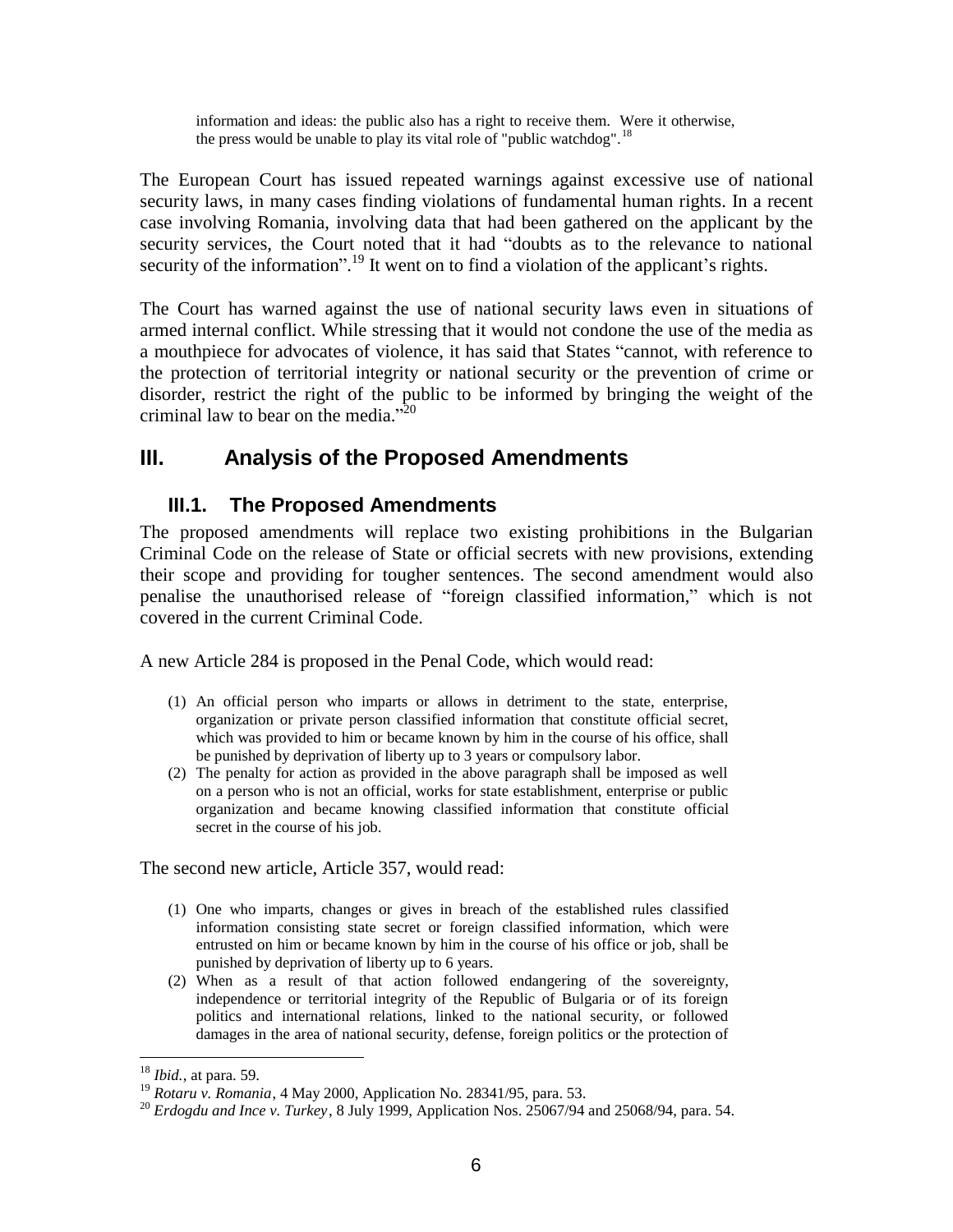information and ideas: the public also has a right to receive them. Were it otherwise, the press would be unable to play its vital role of "public watchdog".<sup>18</sup>

The European Court has issued repeated warnings against excessive use of national security laws, in many cases finding violations of fundamental human rights. In a recent case involving Romania, involving data that had been gathered on the applicant by the security services, the Court noted that it had "doubts as to the relevance to national security of the information".<sup>19</sup> It went on to find a violation of the applicant's rights.

The Court has warned against the use of national security laws even in situations of armed internal conflict. While stressing that it would not condone the use of the media as a mouthpiece for advocates of violence, it has said that States "cannot, with reference to the protection of territorial integrity or national security or the prevention of crime or disorder, restrict the right of the public to be informed by bringing the weight of the criminal law to bear on the media."<sup>20</sup>

## **III. Analysis of the Proposed Amendments**

### **III.1. The Proposed Amendments**

The proposed amendments will replace two existing prohibitions in the Bulgarian Criminal Code on the release of State or official secrets with new provisions, extending their scope and providing for tougher sentences. The second amendment would also penalise the unauthorised release of "foreign classified information," which is not covered in the current Criminal Code.

A new Article 284 is proposed in the Penal Code, which would read:

- (1) An official person who imparts or allows in detriment to the state, enterprise, organization or private person classified information that constitute official secret, which was provided to him or became known by him in the course of his office, shall be punished by deprivation of liberty up to 3 years or compulsory labor.
- (2) The penalty for action as provided in the above paragraph shall be imposed as well on a person who is not an official, works for state establishment, enterprise or public organization and became knowing classified information that constitute official secret in the course of his job.

The second new article, Article 357, would read:

- (1) One who imparts, changes or gives in breach of the established rules classified information consisting state secret or foreign classified information, which were entrusted on him or became known by him in the course of his office or job, shall be punished by deprivation of liberty up to 6 years.
- (2) When as a result of that action followed endangering of the sovereignty, independence or territorial integrity of the Republic of Bulgaria or of its foreign politics and international relations, linked to the national security, or followed damages in the area of national security, defense, foreign politics or the protection of

 $\overline{a}$ <sup>18</sup> *Ibid.*, at para. 59.

<sup>19</sup> *Rotaru v. Romania*, 4 May 2000, Application No. 28341/95, para. 53.

<sup>20</sup> *Erdogdu and Ince v. Turkey*, 8 July 1999, Application Nos. 25067/94 and 25068/94, para. 54.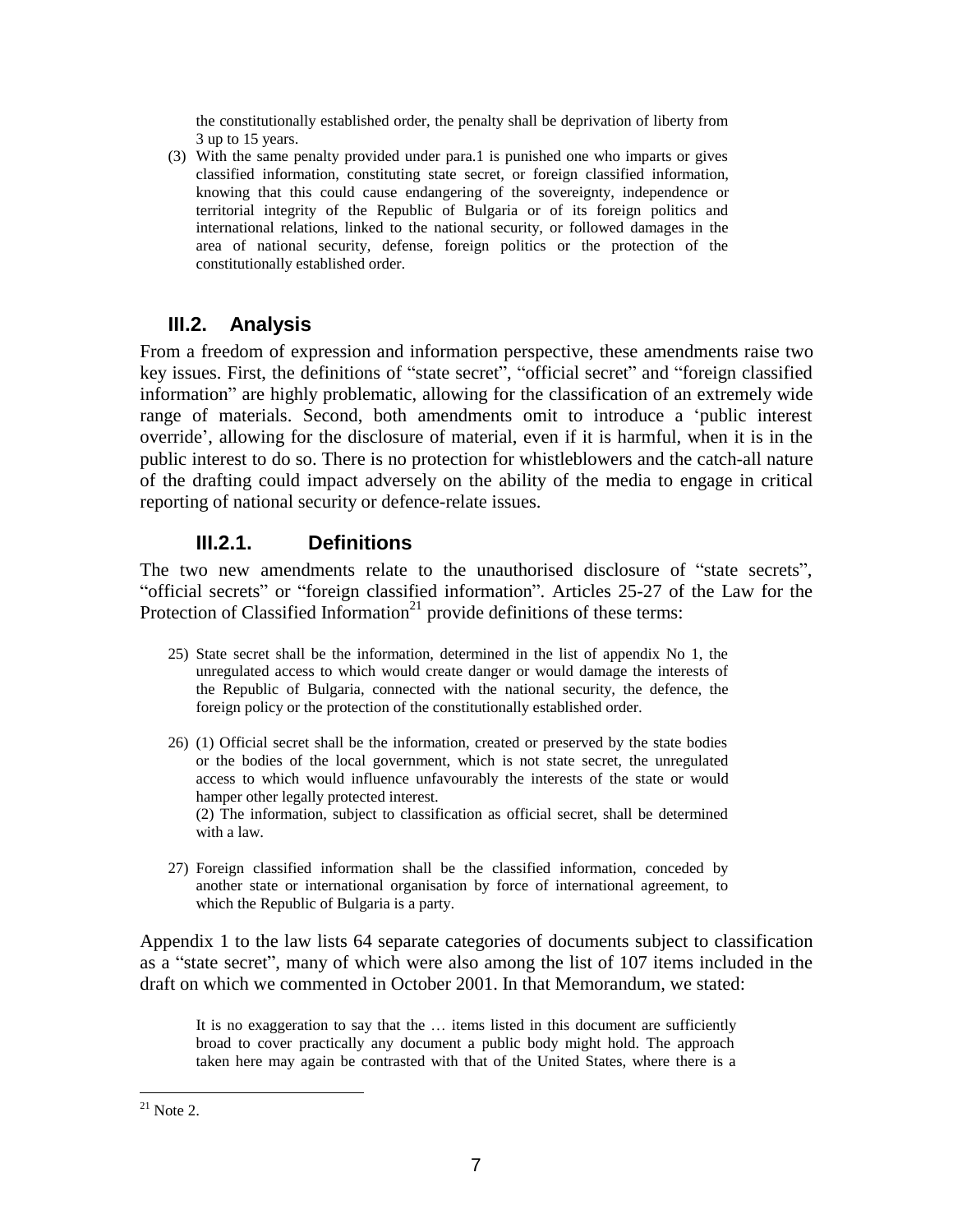the constitutionally established order, the penalty shall be deprivation of liberty from 3 up to 15 years.

(3) With the same penalty provided under para.1 is punished one who imparts or gives classified information, constituting state secret, or foreign classified information, knowing that this could cause endangering of the sovereignty, independence or territorial integrity of the Republic of Bulgaria or of its foreign politics and international relations, linked to the national security, or followed damages in the area of national security, defense, foreign politics or the protection of the constitutionally established order.

### **III.2. Analysis**

From a freedom of expression and information perspective, these amendments raise two key issues. First, the definitions of "state secret", "official secret" and "foreign classified information" are highly problematic, allowing for the classification of an extremely wide range of materials. Second, both amendments omit to introduce a 'public interest override', allowing for the disclosure of material, even if it is harmful, when it is in the public interest to do so. There is no protection for whistleblowers and the catch-all nature of the drafting could impact adversely on the ability of the media to engage in critical reporting of national security or defence-relate issues.

### **III.2.1. Definitions**

The two new amendments relate to the unauthorised disclosure of "state secrets", "official secrets" or "foreign classified information". Articles 25-27 of the Law for the Protection of Classified Information<sup>21</sup> provide definitions of these terms:

- 25) State secret shall be the information, determined in the list of appendix No 1, the unregulated access to which would create danger or would damage the interests of the Republic of Bulgaria, connected with the national security, the defence, the foreign policy or the protection of the constitutionally established order.
- 26) (1) Official secret shall be the information, created or preserved by the state bodies or the bodies of the local government, which is not state secret, the unregulated access to which would influence unfavourably the interests of the state or would hamper other legally protected interest. (2) The information, subject to classification as official secret, shall be determined with a law.
- 27) Foreign classified information shall be the classified information, conceded by another state or international organisation by force of international agreement, to which the Republic of Bulgaria is a party.

Appendix 1 to the law lists 64 separate categories of documents subject to classification as a "state secret", many of which were also among the list of 107 items included in the draft on which we commented in October 2001. In that Memorandum, we stated:

It is no exaggeration to say that the … items listed in this document are sufficiently broad to cover practically any document a public body might hold. The approach taken here may again be contrasted with that of the United States, where there is a

 $^{21}$  Note 2.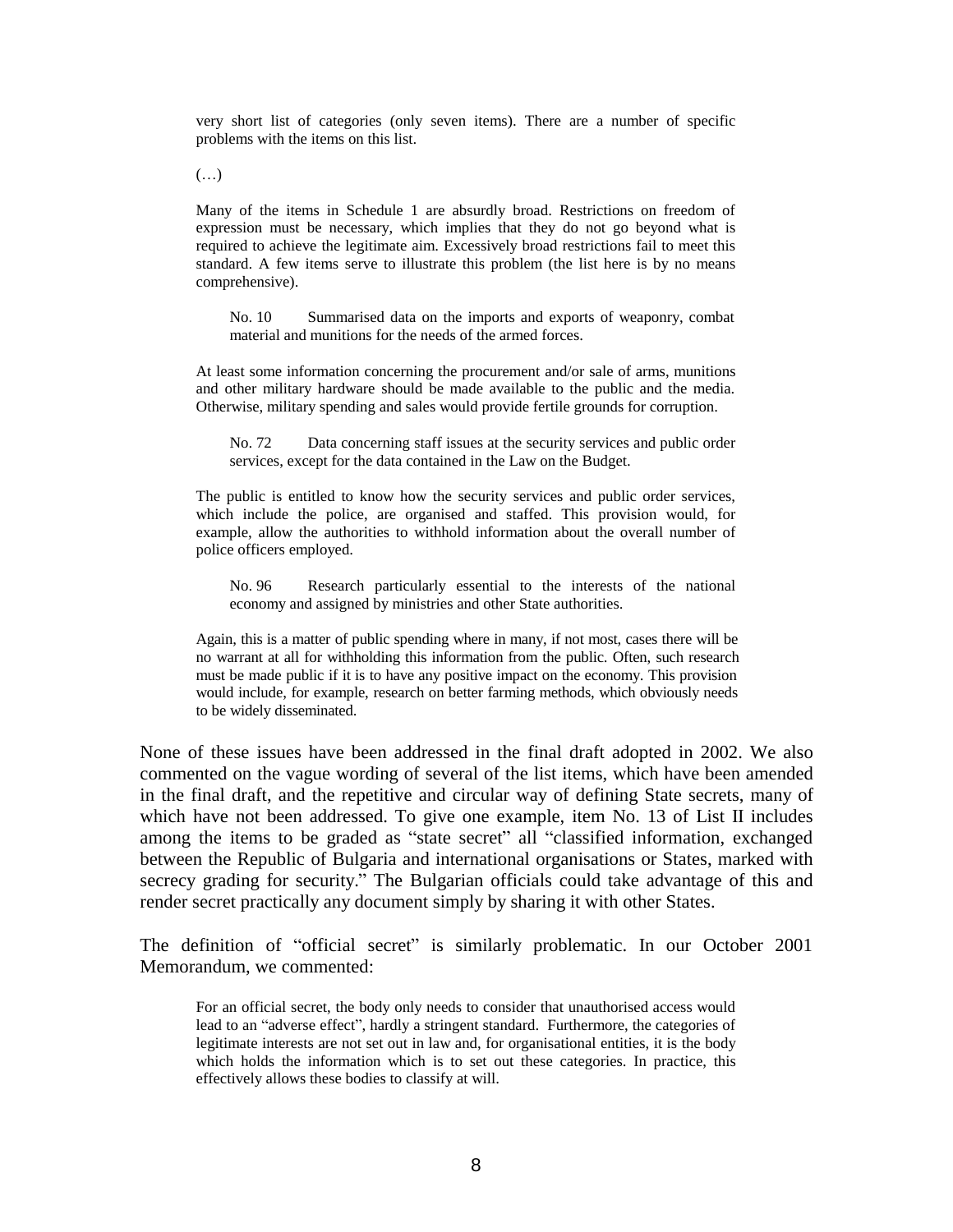very short list of categories (only seven items). There are a number of specific problems with the items on this list.

 $(\ldots)$ 

Many of the items in Schedule 1 are absurdly broad. Restrictions on freedom of expression must be necessary, which implies that they do not go beyond what is required to achieve the legitimate aim. Excessively broad restrictions fail to meet this standard. A few items serve to illustrate this problem (the list here is by no means comprehensive).

No. 10 Summarised data on the imports and exports of weaponry, combat material and munitions for the needs of the armed forces.

At least some information concerning the procurement and/or sale of arms, munitions and other military hardware should be made available to the public and the media. Otherwise, military spending and sales would provide fertile grounds for corruption.

No. 72 Data concerning staff issues at the security services and public order services, except for the data contained in the Law on the Budget.

The public is entitled to know how the security services and public order services, which include the police, are organised and staffed. This provision would, for example, allow the authorities to withhold information about the overall number of police officers employed.

No. 96 Research particularly essential to the interests of the national economy and assigned by ministries and other State authorities.

Again, this is a matter of public spending where in many, if not most, cases there will be no warrant at all for withholding this information from the public. Often, such research must be made public if it is to have any positive impact on the economy. This provision would include, for example, research on better farming methods, which obviously needs to be widely disseminated.

None of these issues have been addressed in the final draft adopted in 2002. We also commented on the vague wording of several of the list items, which have been amended in the final draft, and the repetitive and circular way of defining State secrets, many of which have not been addressed. To give one example, item No. 13 of List II includes among the items to be graded as "state secret" all "classified information, exchanged between the Republic of Bulgaria and international organisations or States, marked with secrecy grading for security." The Bulgarian officials could take advantage of this and render secret practically any document simply by sharing it with other States.

The definition of "official secret" is similarly problematic. In our October 2001 Memorandum, we commented:

For an official secret, the body only needs to consider that unauthorised access would lead to an "adverse effect", hardly a stringent standard. Furthermore, the categories of legitimate interests are not set out in law and, for organisational entities, it is the body which holds the information which is to set out these categories. In practice, this effectively allows these bodies to classify at will.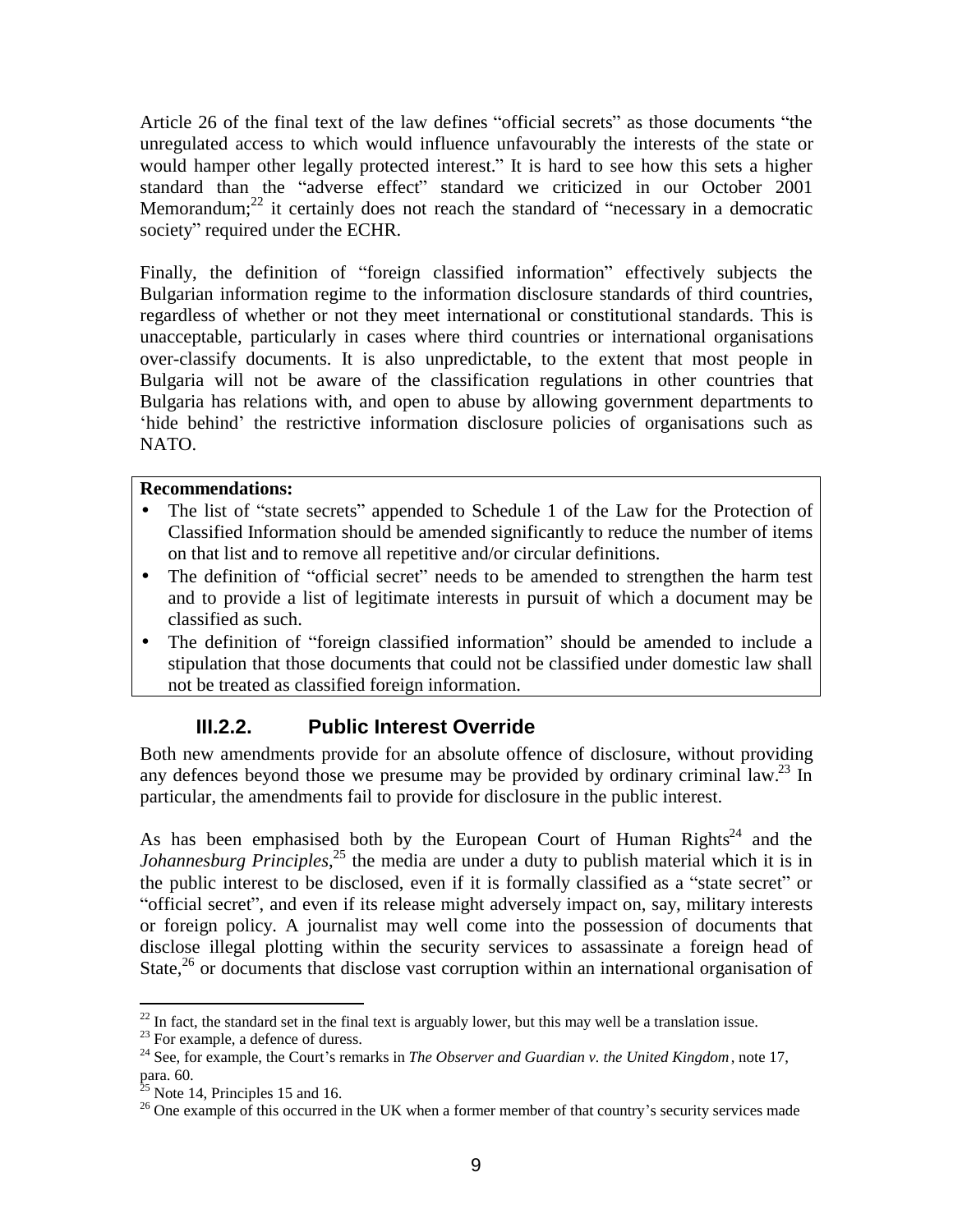Article 26 of the final text of the law defines "official secrets" as those documents "the unregulated access to which would influence unfavourably the interests of the state or would hamper other legally protected interest." It is hard to see how this sets a higher standard than the "adverse effect" standard we criticized in our October 2001 Memorandum; $^{22}$  it certainly does not reach the standard of "necessary in a democratic society" required under the ECHR.

Finally, the definition of "foreign classified information" effectively subjects the Bulgarian information regime to the information disclosure standards of third countries, regardless of whether or not they meet international or constitutional standards. This is unacceptable, particularly in cases where third countries or international organisations over-classify documents. It is also unpredictable, to the extent that most people in Bulgaria will not be aware of the classification regulations in other countries that Bulgaria has relations with, and open to abuse by allowing government departments to 'hide behind' the restrictive information disclosure policies of organisations such as NATO.

### **Recommendations:**

- The list of "state secrets" appended to Schedule 1 of the Law for the Protection of Classified Information should be amended significantly to reduce the number of items on that list and to remove all repetitive and/or circular definitions.
- The definition of "official secret" needs to be amended to strengthen the harm test and to provide a list of legitimate interests in pursuit of which a document may be classified as such.
- The definition of "foreign classified information" should be amended to include a stipulation that those documents that could not be classified under domestic law shall not be treated as classified foreign information.

### **III.2.2. Public Interest Override**

Both new amendments provide for an absolute offence of disclosure, without providing any defences beyond those we presume may be provided by ordinary criminal law.<sup>23</sup> In particular, the amendments fail to provide for disclosure in the public interest.

As has been emphasised both by the European Court of Human Rights<sup>24</sup> and the *Johannesburg Principles*<sup>25</sup>, the media are under a duty to publish material which it is in the public interest to be disclosed, even if it is formally classified as a "state secret" or "official secret", and even if its release might adversely impact on, say, military interests or foreign policy. A journalist may well come into the possession of documents that disclose illegal plotting within the security services to assassinate a foreign head of State, $26$  or documents that disclose vast corruption within an international organisation of

 $\overline{a}$  $^{22}$  In fact, the standard set in the final text is arguably lower, but this may well be a translation issue.

<sup>&</sup>lt;sup>23</sup> For example, a defence of duress.

<sup>24</sup> See, for example, the Court's remarks in *The Observer and Guardian v. the United Kingdom*, note 17, para. 60.

 $25$  Note 14, Principles 15 and 16.

<sup>&</sup>lt;sup>26</sup> One example of this occurred in the UK when a former member of that country's security services made